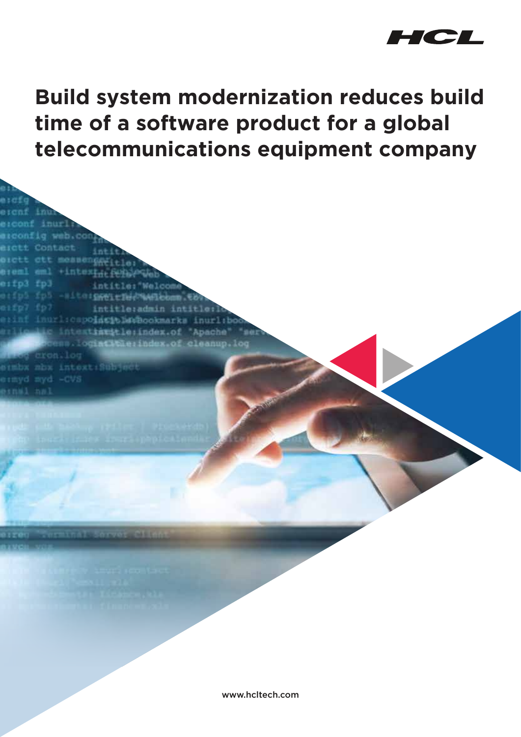

**Build system modernization reduces build time of a software product for a global telecommunications equipment company**

+intext.

 $+1550196$ 

intitle: Welcom

inurlicspoincible@bookmarks inurli

intitle:admin intitle

extrastle:index.of 'Apache'

 $-$ of ele

eifp3 fp3

offul ful

aifp7 fp

ermyd myd

SIEDX RDX Intoxt: S

www.hcltech.com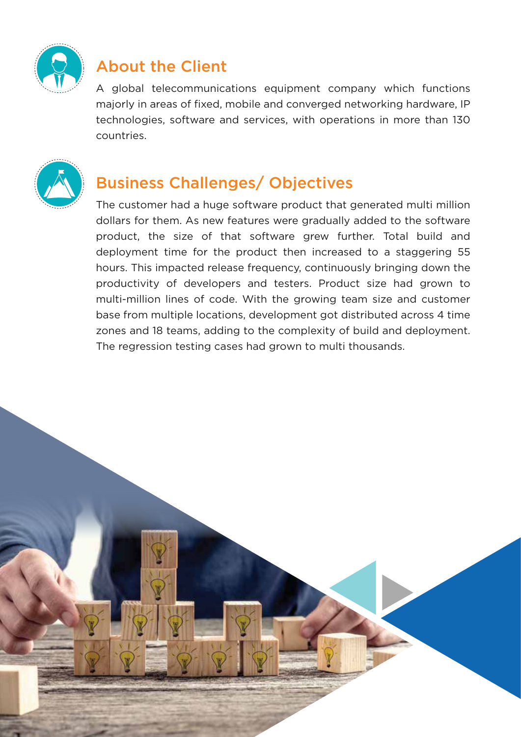

# About the Client

A global telecommunications equipment company which functions majorly in areas of fixed, mobile and converged networking hardware, IP technologies, software and services, with operations in more than 130 countries.



# Business Challenges/ Objectives

The customer had a huge software product that generated multi million dollars for them. As new features were gradually added to the software product, the size of that software grew further. Total build and deployment time for the product then increased to a staggering 55 hours. This impacted release frequency, continuously bringing down the productivity of developers and testers. Product size had grown to multi-million lines of code. With the growing team size and customer base from multiple locations, development got distributed across 4 time zones and 18 teams, adding to the complexity of build and deployment. The regression testing cases had grown to multi thousands.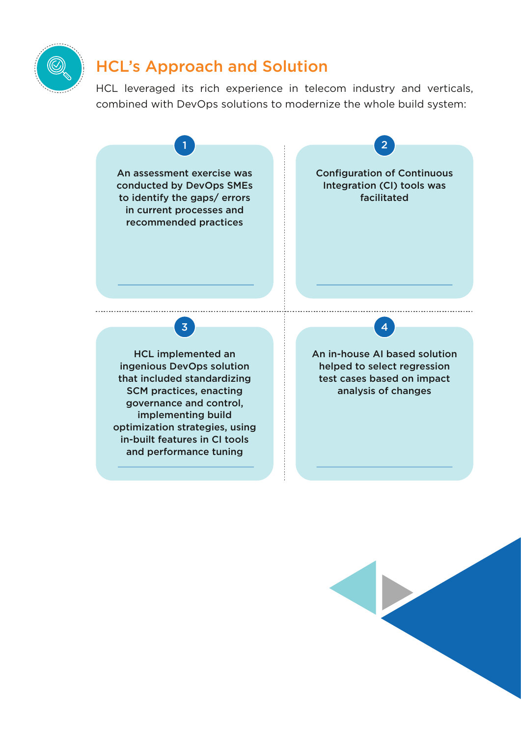

### HCL's Approach and Solution

HCL leveraged its rich experience in telecom industry and verticals, combined with DevOps solutions to modernize the whole build system:

1 2

An assessment exercise was conducted by DevOps SMEs to identify the gaps/ errors in current processes and recommended practices

Configuration of Continuous Integration (CI) tools was facilitated

3 4

HCL implemented an ingenious DevOps solution that included standardizing SCM practices, enacting governance and control, implementing build optimization strategies, using in-built features in CI tools and performance tuning

An in-house AI based solution helped to select regression test cases based on impact analysis of changes